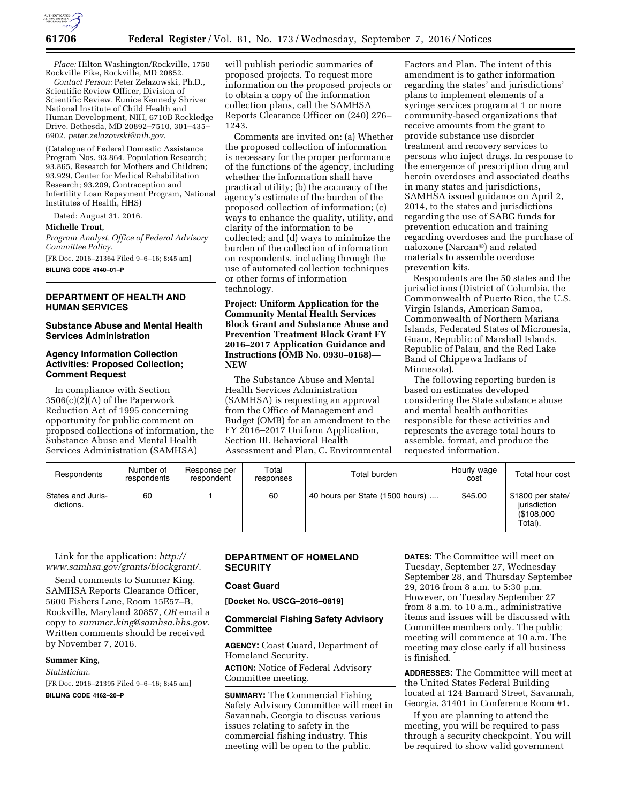

*Place:* Hilton Washington/Rockville, 1750 Rockville Pike, Rockville, MD 20852.

*Contact Person:* Peter Zelazowski, Ph.D., Scientific Review Officer, Division of Scientific Review, Eunice Kennedy Shriver National Institute of Child Health and Human Development, NIH, 6710B Rockledge Drive, Bethesda, MD 20892–7510, 301–435– 6902, *[peter.zelazowski@nih.gov.](mailto:peter.zelazowski@nih.gov)* 

(Catalogue of Federal Domestic Assistance Program Nos. 93.864, Population Research; 93.865, Research for Mothers and Children; 93.929, Center for Medical Rehabilitation Research; 93.209, Contraception and Infertility Loan Repayment Program, National Institutes of Health, HHS)

Dated: August 31, 2016.

### **Michelle Trout,**

*Program Analyst, Office of Federal Advisory Committee Policy.* 

[FR Doc. 2016–21364 Filed 9–6–16; 8:45 am]

**BILLING CODE 4140–01–P** 

## **DEPARTMENT OF HEALTH AND HUMAN SERVICES**

## **Substance Abuse and Mental Health Services Administration**

## **Agency Information Collection Activities: Proposed Collection; Comment Request**

In compliance with Section 3506(c)(2)(A) of the Paperwork Reduction Act of 1995 concerning opportunity for public comment on proposed collections of information, the Substance Abuse and Mental Health Services Administration (SAMHSA)

will publish periodic summaries of proposed projects. To request more information on the proposed projects or to obtain a copy of the information collection plans, call the SAMHSA Reports Clearance Officer on (240) 276– 1243.

Comments are invited on: (a) Whether the proposed collection of information is necessary for the proper performance of the functions of the agency, including whether the information shall have practical utility; (b) the accuracy of the agency's estimate of the burden of the proposed collection of information; (c) ways to enhance the quality, utility, and clarity of the information to be collected; and (d) ways to minimize the burden of the collection of information on respondents, including through the use of automated collection techniques or other forms of information technology.

**Project: Uniform Application for the Community Mental Health Services Block Grant and Substance Abuse and Prevention Treatment Block Grant FY 2016–2017 Application Guidance and Instructions (OMB No. 0930–0168)— NEW** 

The Substance Abuse and Mental Health Services Administration (SAMHSA) is requesting an approval from the Office of Management and Budget (OMB) for an amendment to the FY 2016–2017 Uniform Application, Section III. Behavioral Health Assessment and Plan, C. Environmental

Factors and Plan. The intent of this amendment is to gather information regarding the states' and jurisdictions' plans to implement elements of a syringe services program at 1 or more community-based organizations that receive amounts from the grant to provide substance use disorder treatment and recovery services to persons who inject drugs. In response to the emergence of prescription drug and heroin overdoses and associated deaths in many states and jurisdictions, SAMHSA issued guidance on April 2, 2014, to the states and jurisdictions regarding the use of SABG funds for prevention education and training regarding overdoses and the purchase of naloxone (Narcan®) and related materials to assemble overdose prevention kits.

Respondents are the 50 states and the jurisdictions (District of Columbia, the Commonwealth of Puerto Rico, the U.S. Virgin Islands, American Samoa, Commonwealth of Northern Mariana Islands, Federated States of Micronesia, Guam, Republic of Marshall Islands, Republic of Palau, and the Red Lake Band of Chippewa Indians of Minnesota).

The following reporting burden is based on estimates developed considering the State substance abuse and mental health authorities responsible for these activities and represents the average total hours to assemble, format, and produce the requested information.

| Respondents                    | Number of<br>respondents | Response per<br>respondent | Total<br>responses | Total burden                    | Hourly wage<br>cost | Total hour cost                                            |
|--------------------------------|--------------------------|----------------------------|--------------------|---------------------------------|---------------------|------------------------------------------------------------|
| States and Juris-<br>dictions. | 60                       |                            | 60                 | 40 hours per State (1500 hours) | \$45.00             | \$1800 per state/<br>iurisdiction<br>(\$108,000<br>Total). |

Link for the application: *[http://](http://www.samhsa.gov/grants/blockgrant/) [www.samhsa.gov/grants/blockgrant/](http://www.samhsa.gov/grants/blockgrant/)*.

Send comments to Summer King, SAMHSA Reports Clearance Officer, 5600 Fishers Lane, Room 15E57–B, Rockville, Maryland 20857, *OR* email a copy to *[summer.king@samhsa.hhs.gov.](mailto:summer.king@samhsa.hhs.gov)*  Written comments should be received by November 7, 2016.

### **Summer King,**

*Statistician.* 

[FR Doc. 2016–21395 Filed 9–6–16; 8:45 am]

**BILLING CODE 4162–20–P** 

# **DEPARTMENT OF HOMELAND SECURITY**

## **Coast Guard**

**[Docket No. USCG–2016–0819]** 

# **Commercial Fishing Safety Advisory Committee**

**AGENCY:** Coast Guard, Department of Homeland Security.

**ACTION:** Notice of Federal Advisory Committee meeting.

**SUMMARY:** The Commercial Fishing Safety Advisory Committee will meet in Savannah, Georgia to discuss various issues relating to safety in the commercial fishing industry. This meeting will be open to the public.

**DATES:** The Committee will meet on Tuesday, September 27, Wednesday September 28, and Thursday September 29, 2016 from 8 a.m. to 5:30 p.m. However, on Tuesday September 27 from 8 a.m. to 10 a.m., administrative items and issues will be discussed with Committee members only. The public meeting will commence at 10 a.m. The meeting may close early if all business is finished.

**ADDRESSES:** The Committee will meet at the United States Federal Building located at 124 Barnard Street, Savannah, Georgia, 31401 in Conference Room #1.

If you are planning to attend the meeting, you will be required to pass through a security checkpoint. You will be required to show valid government